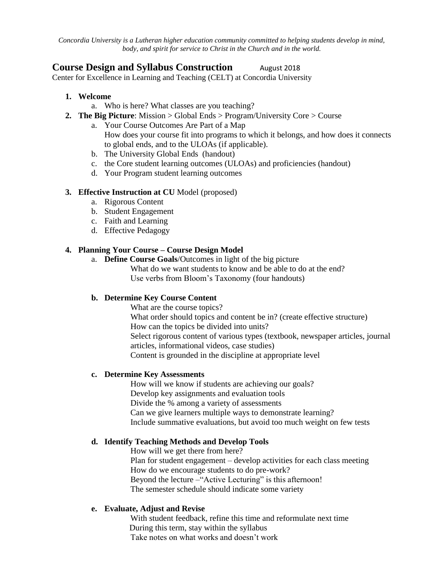*Concordia University is a Lutheran higher education community committed to helping students develop in mind, body, and spirit for service to Christ in the Church and in the world.*

# **Course Design and Syllabus Construction** August 2018

Center for Excellence in Learning and Teaching (CELT) at Concordia University

- **1. Welcome** 
	- a. Who is here? What classes are you teaching?
- **2. The Big Picture**: Mission > Global Ends > Program/University Core > Course
	- a. Your Course Outcomes Are Part of a Map How does your course fit into programs to which it belongs, and how does it connects to global ends, and to the ULOAs (if applicable).
	- b. The University Global Ends (handout)
	- c. the Core student learning outcomes (ULOAs) and proficiencies (handout)
	- d. Your Program student learning outcomes

#### **3. Effective Instruction at CU** Model (proposed)

- a. Rigorous Content
- b. Student Engagement
- c. Faith and Learning
- d. Effective Pedagogy

## **4. Planning Your Course – Course Design Model**

a. **Define Course Goals**/Outcomes in light of the big picture What do we want students to know and be able to do at the end? Use verbs from Bloom's Taxonomy (four handouts)

## **b. Determine Key Course Content**

What are the course topics?

What order should topics and content be in? (create effective structure) How can the topics be divided into units? Select rigorous content of various types (textbook, newspaper articles, journal articles, informational videos, case studies) Content is grounded in the discipline at appropriate level

#### **c. Determine Key Assessments**

How will we know if students are achieving our goals? Develop key assignments and evaluation tools Divide the % among a variety of assessments Can we give learners multiple ways to demonstrate learning? Include summative evaluations, but avoid too much weight on few tests

## **d. Identify Teaching Methods and Develop Tools**

How will we get there from here? Plan for student engagement – develop activities for each class meeting How do we encourage students to do pre-work? Beyond the lecture – "Active Lecturing" is this afternoon! The semester schedule should indicate some variety

## **e. Evaluate, Adjust and Revise**

With student feedback, refine this time and reformulate next time During this term, stay within the syllabus Take notes on what works and doesn't work